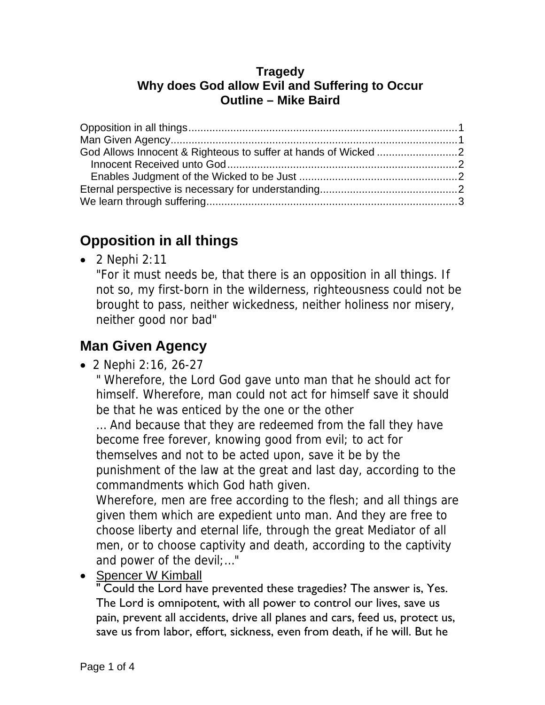### **Tragedy Why does God allow Evil and Suffering to Occur Outline – Mike Baird**

## **Opposition in all things**

 $\bullet$  2 Nephi 2:11

"For it must needs be, that there is an opposition in all things. If not so, my first-born in the wilderness, righteousness could not be brought to pass, neither wickedness, neither holiness nor misery, neither good nor bad"

## **Man Given Agency**

2 Nephi 2:16, 26-27

" Wherefore, the Lord God gave unto man that he should act for himself. Wherefore, man could not act for himself save it should be that he was enticed by the one or the other

… And because that they are redeemed from the fall they have become free forever, knowing good from evil; to act for themselves and not to be acted upon, save it be by the punishment of the law at the great and last day, according to the commandments which God hath given.

Wherefore, men are free according to the flesh; and all things are given them which are expedient unto man. And they are free to choose liberty and eternal life, through the great Mediator of all men, or to choose captivity and death, according to the captivity and power of the devil;…"

• Spencer W Kimball

" Could the Lord have prevented these tragedies? The answer is, Yes. The Lord is omnipotent, with all power to control our lives, save us pain, prevent all accidents, drive all planes and cars, feed us, protect us, save us from labor, effort, sickness, even from death, if he will. But he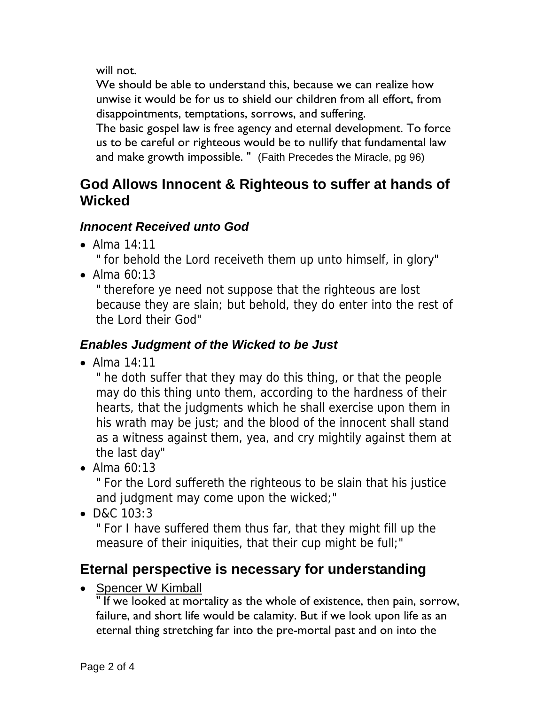will not.

We should be able to understand this, because we can realize how unwise it would be for us to shield our children from all effort, from disappointments, temptations, sorrows, and suffering.

The basic gospel law is free agency and eternal development. To force us to be careful or righteous would be to nullify that fundamental law and make growth impossible. " (Faith Precedes the Miracle, pg 96)

## **God Allows Innocent & Righteous to suffer at hands of Wicked**

## *Innocent Received unto God*

 $\bullet$  Alma 14:11

" for behold the Lord receiveth them up unto himself, in glory"

• Alma 60:13

" therefore ye need not suppose that the righteous are lost because they are slain; but behold, they do enter into the rest of the Lord their God"

## *Enables Judgment of the Wicked to be Just*

• Alma 14:11

" he doth suffer that they may do this thing, or that the people may do this thing unto them, according to the hardness of their hearts, that the judgments which he shall exercise upon them in his wrath may be just; and the blood of the innocent shall stand as a witness against them, yea, and cry mightily against them at the last day"

 $\bullet$  Alma 60:13

" For the Lord suffereth the righteous to be slain that his justice and judgment may come upon the wicked;"

D&C 103:3

" For I have suffered them thus far, that they might fill up the measure of their iniquities, that their cup might be full;"

# **Eternal perspective is necessary for understanding**

• Spencer W Kimball

" If we looked at mortality as the whole of existence, then pain, sorrow, failure, and short life would be calamity. But if we look upon life as an eternal thing stretching far into the pre-mortal past and on into the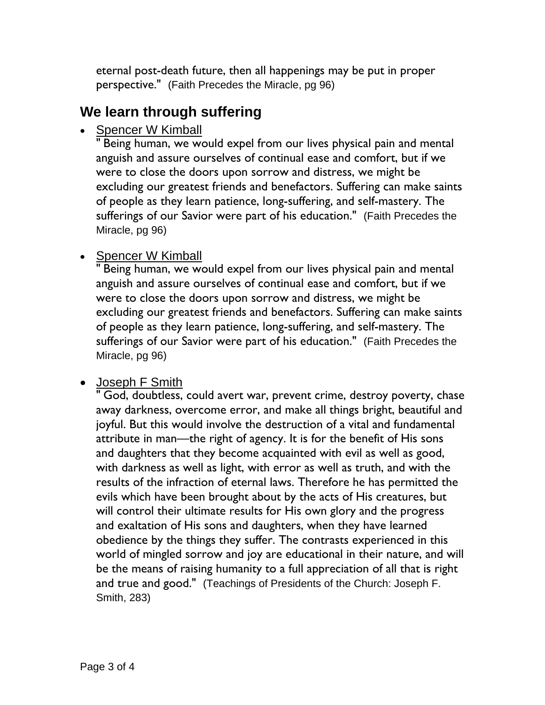eternal post-death future, then all happenings may be put in proper perspective." (Faith Precedes the Miracle, pg 96)

## **We learn through suffering**

### • Spencer W Kimball

" Being human, we would expel from our lives physical pain and mental anguish and assure ourselves of continual ease and comfort, but if we were to close the doors upon sorrow and distress, we might be excluding our greatest friends and benefactors. Suffering can make saints of people as they learn patience, long-suffering, and self-mastery. The sufferings of our Savior were part of his education." (Faith Precedes the Miracle, pg 96)

### • Spencer W Kimball

" Being human, we would expel from our lives physical pain and mental anguish and assure ourselves of continual ease and comfort, but if we were to close the doors upon sorrow and distress, we might be excluding our greatest friends and benefactors. Suffering can make saints of people as they learn patience, long-suffering, and self-mastery. The sufferings of our Savior were part of his education." (Faith Precedes the Miracle, pg 96)

### • Joseph F Smith

" God, doubtless, could avert war, prevent crime, destroy poverty, chase away darkness, overcome error, and make all things bright, beautiful and joyful. But this would involve the destruction of a vital and fundamental attribute in man—the right of agency. It is for the benefit of His sons and daughters that they become acquainted with evil as well as good, with darkness as well as light, with error as well as truth, and with the results of the infraction of eternal laws. Therefore he has permitted the evils which have been brought about by the acts of His creatures, but will control their ultimate results for His own glory and the progress and exaltation of His sons and daughters, when they have learned obedience by the things they suffer. The contrasts experienced in this world of mingled sorrow and joy are educational in their nature, and will be the means of raising humanity to a full appreciation of all that is right and true and good." (Teachings of Presidents of the Church: Joseph F. Smith, 283)